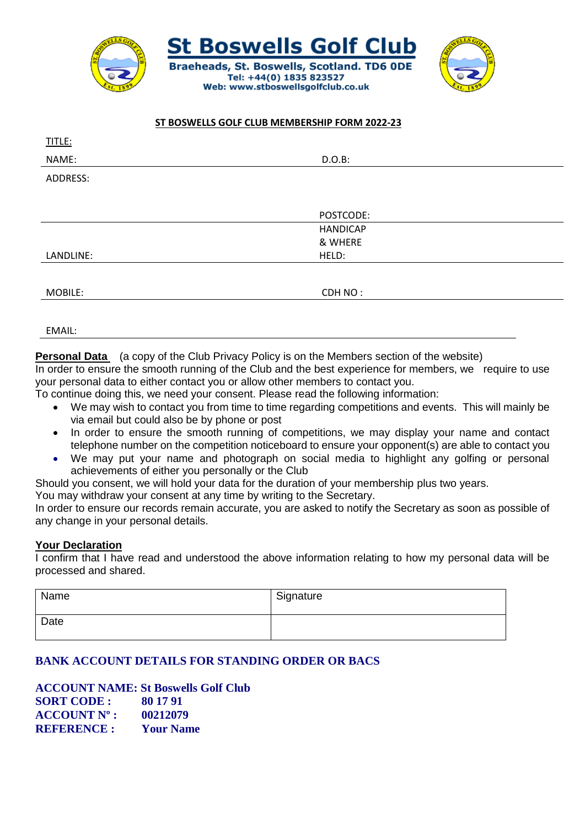

## **ST BOSWELLS GOLF CLUB MEMBERSHIP FORM 2022-23**

| TITLE:    |                 |
|-----------|-----------------|
| NAME:     | $D.O.B$ :       |
| ADDRESS:  |                 |
|           |                 |
|           | POSTCODE:       |
|           | <b>HANDICAP</b> |
|           | & WHERE         |
| LANDLINE: | HELD:           |
|           |                 |
| MOBILE:   | CDH NO:         |
|           |                 |

EMAIL:

**Personal Data** (a copy of the Club Privacy Policy is on the Members section of the website)

In order to ensure the smooth running of the Club and the best experience for members, we require to use your personal data to either contact you or allow other members to contact you.

To continue doing this, we need your consent. Please read the following information:

- We may wish to contact you from time to time regarding competitions and events. This will mainly be via email but could also be by phone or post
- In order to ensure the smooth running of competitions, we may display your name and contact telephone number on the competition noticeboard to ensure your opponent(s) are able to contact you
- We may put your name and photograph on social media to highlight any golfing or personal achievements of either you personally or the Club

Should you consent, we will hold your data for the duration of your membership plus two years.

You may withdraw your consent at any time by writing to the Secretary.

In order to ensure our records remain accurate, you are asked to notify the Secretary as soon as possible of any change in your personal details.

## **Your Declaration**

I confirm that I have read and understood the above information relating to how my personal data will be processed and shared.

| Name | Signature |
|------|-----------|
| Date |           |

## **BANK ACCOUNT DETAILS FOR STANDING ORDER OR BACS**

**ACCOUNT NAME: St Boswells Golf Club SORT CODE : 80 17 91 ACCOUNT Nº : 00212079 REFERENCE : Your Name**